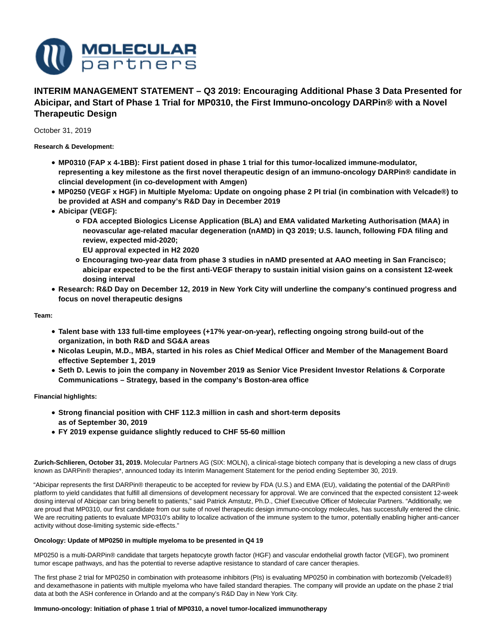

# **INTERIM MANAGEMENT STATEMENT – Q3 2019: Encouraging Additional Phase 3 Data Presented for Abicipar, and Start of Phase 1 Trial for MP0310, the First Immuno-oncology DARPin® with a Novel Therapeutic Design**

October 31, 2019

**Research & Development:**

- **MP0310 (FAP x 4-1BB): First patient dosed in phase 1 trial for this tumor-localized immune-modulator, representing a key milestone as the first novel therapeutic design of an immuno-oncology DARPin® candidate in clincial development (in co-development with Amgen)**
- **MP0250 (VEGF x HGF) in Multiple Myeloma: Update on ongoing phase 2 PI trial (in combination with Velcade®) to be provided at ASH and company's R&D Day in December 2019**
- **Abicipar (VEGF):**
	- **FDA accepted Biologics License Application (BLA) and EMA validated Marketing Authorisation (MAA) in neovascular age-related macular degeneration (nAMD) in Q3 2019; U.S. launch, following FDA filing and review, expected mid-2020;**
		- **EU approval expected in H2 2020**
	- **Encouraging two-year data from phase 3 studies in nAMD presented at AAO meeting in San Francisco; abicipar expected to be the first anti-VEGF therapy to sustain initial vision gains on a consistent 12-week dosing interval**
- **Research: R&D Day on December 12, 2019 in New York City will underline the company's continued progress and focus on novel therapeutic designs**

**Team:**

- **Talent base with 133 full-time employees (+17% year-on-year), reflecting ongoing strong build-out of the organization, in both R&D and SG&A areas**
- **Nicolas Leupin, M.D., MBA, started in his roles as Chief Medical Officer and Member of the Management Board effective September 1, 2019**
- **Seth D. Lewis to join the company in November 2019 as Senior Vice President Investor Relations & Corporate Communications – Strategy, based in the company's Boston-area office**

**Financial highlights:**

- **Strong financial position with CHF 112.3 million in cash and short-term deposits as of September 30, 2019**
- **FY 2019 expense guidance slightly reduced to CHF 55-60 million**

**Zurich-Schlieren, October 31, 2019.** Molecular Partners AG (SIX: MOLN), a clinical-stage biotech company that is developing a new class of drugs known as DARPin® therapies\*, announced today its Interim Management Statement for the period ending September 30, 2019.

"Abicipar represents the first DARPin® therapeutic to be accepted for review by FDA (U.S.) and EMA (EU), validating the potential of the DARPin® platform to yield candidates that fulfill all dimensions of development necessary for approval. We are convinced that the expected consistent 12-week dosing interval of Abicipar can bring benefit to patients," said Patrick Amstutz, Ph.D., Chief Executive Officer of Molecular Partners. "Additionally, we are proud that MP0310, our first candidate from our suite of novel therapeutic design immuno-oncology molecules, has successfully entered the clinic. We are recruiting patients to evaluate MP0310's ability to localize activation of the immune system to the tumor, potentially enabling higher anti-cancer activity without dose-limiting systemic side-effects."

# **Oncology: Update of MP0250 in multiple myeloma to be presented in Q4 19**

MP0250 is a multi-DARPin® candidate that targets hepatocyte growth factor (HGF) and vascular endothelial growth factor (VEGF), two prominent tumor escape pathways, and has the potential to reverse adaptive resistance to standard of care cancer therapies.

The first phase 2 trial for MP0250 in combination with proteasome inhibitors (PIs) is evaluating MP0250 in combination with bortezomib (Velcade®) and dexamethasone in patients with multiple myeloma who have failed standard therapies. The company will provide an update on the phase 2 trial data at both the ASH conference in Orlando and at the company's R&D Day in New York City.

## **Immuno-oncology: Initiation of phase 1 trial of MP0310, a novel tumor-localized immunotherapy**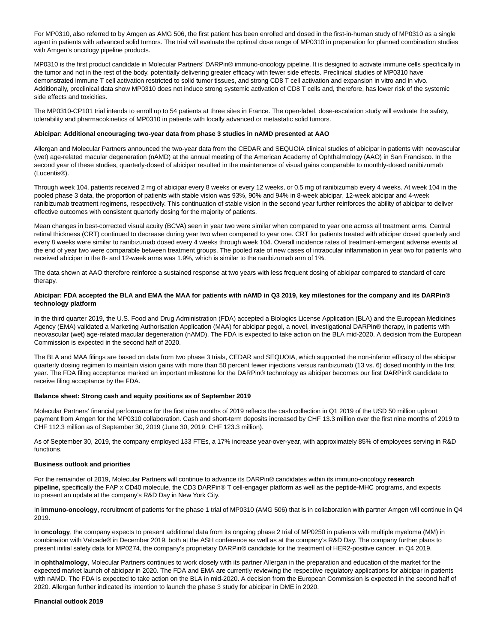For MP0310, also referred to by Amgen as AMG 506, the first patient has been enrolled and dosed in the first-in-human study of MP0310 as a single agent in patients with advanced solid tumors. The trial will evaluate the optimal dose range of MP0310 in preparation for planned combination studies with Amgen's oncology pipeline products.

MP0310 is the first product candidate in Molecular Partners' DARPin® immuno-oncology pipeline. It is designed to activate immune cells specifically in the tumor and not in the rest of the body, potentially delivering greater efficacy with fewer side effects. Preclinical studies of MP0310 have demonstrated immune T cell activation restricted to solid tumor tissues, and strong CD8 T cell activation and expansion in vitro and in vivo. Additionally, preclinical data show MP0310 does not induce strong systemic activation of CD8 T cells and, therefore, has lower risk of the systemic side effects and toxicities.

The MP0310-CP101 trial intends to enroll up to 54 patients at three sites in France. The open-label, dose-escalation study will evaluate the safety, tolerability and pharmacokinetics of MP0310 in patients with locally advanced or metastatic solid tumors.

## **Abicipar: Additional encouraging two-year data from phase 3 studies in nAMD presented at AAO**

Allergan and Molecular Partners announced the two-year data from the CEDAR and SEQUOIA clinical studies of abicipar in patients with neovascular (wet) age-related macular degeneration (nAMD) at the annual meeting of the American Academy of Ophthalmology (AAO) in San Francisco. In the second year of these studies, quarterly-dosed of abicipar resulted in the maintenance of visual gains comparable to monthly-dosed ranibizumab (Lucentis®).

Through week 104, patients received 2 mg of abicipar every 8 weeks or every 12 weeks, or 0.5 mg of ranibizumab every 4 weeks. At week 104 in the pooled phase 3 data, the proportion of patients with stable vision was 93%, 90% and 94% in 8-week abicipar, 12-week abicipar and 4-week ranibizumab treatment regimens, respectively. This continuation of stable vision in the second year further reinforces the ability of abicipar to deliver effective outcomes with consistent quarterly dosing for the majority of patients.

Mean changes in best-corrected visual acuity (BCVA) seen in year two were similar when compared to year one across all treatment arms. Central retinal thickness (CRT) continued to decrease during year two when compared to year one. CRT for patients treated with abicipar dosed quarterly and every 8 weeks were similar to ranibizumab dosed every 4 weeks through week 104. Overall incidence rates of treatment-emergent adverse events at the end of year two were comparable between treatment groups. The pooled rate of new cases of intraocular inflammation in year two for patients who received abicipar in the 8- and 12-week arms was 1.9%, which is similar to the ranibizumab arm of 1%.

The data shown at AAO therefore reinforce a sustained response at two years with less frequent dosing of abicipar compared to standard of care therapy.

## **Abicipar: FDA accepted the BLA and EMA the MAA for patients with nAMD in Q3 2019, key milestones for the company and its DARPin® technology platform**

In the third quarter 2019, the U.S. Food and Drug Administration (FDA) accepted a Biologics License Application (BLA) and the European Medicines Agency (EMA) validated a Marketing Authorisation Application (MAA) for abicipar pegol, a novel, investigational DARPin® therapy, in patients with neovascular (wet) age-related macular degeneration (nAMD). The FDA is expected to take action on the BLA mid-2020. A decision from the European Commission is expected in the second half of 2020.

The BLA and MAA filings are based on data from two phase 3 trials, CEDAR and SEQUOIA, which supported the non-inferior efficacy of the abicipar quarterly dosing regimen to maintain vision gains with more than 50 percent fewer injections versus ranibizumab (13 vs. 6) dosed monthly in the first year. The FDA filing acceptance marked an important milestone for the DARPin® technology as abicipar becomes our first DARPin® candidate to receive filing acceptance by the FDA.

#### **Balance sheet: Strong cash and equity positions as of September 2019**

Molecular Partners' financial performance for the first nine months of 2019 reflects the cash collection in Q1 2019 of the USD 50 million upfront payment from Amgen for the MP0310 collaboration. Cash and short-term deposits increased by CHF 13.3 million over the first nine months of 2019 to CHF 112.3 million as of September 30, 2019 (June 30, 2019: CHF 123.3 million).

As of September 30, 2019, the company employed 133 FTEs, a 17% increase year-over-year, with approximately 85% of employees serving in R&D functions.

## **Business outlook and priorities**

For the remainder of 2019, Molecular Partners will continue to advance its DARPin® candidates within its immuno-oncology **research pipeline,** specifically the FAP x CD40 molecule, the CD3 DARPin® T cell-engager platform as well as the peptide-MHC programs, and expects to present an update at the company's R&D Day in New York City.

In **immuno-oncology**, recruitment of patients for the phase 1 trial of MP0310 (AMG 506) that is in collaboration with partner Amgen will continue in Q4 2019.

In **oncology**, the company expects to present additional data from its ongoing phase 2 trial of MP0250 in patients with multiple myeloma (MM) in combination with Velcade® in December 2019, both at the ASH conference as well as at the company's R&D Day. The company further plans to present initial safety data for MP0274, the company's proprietary DARPin® candidate for the treatment of HER2-positive cancer, in Q4 2019.

In **ophthalmology**, Molecular Partners continues to work closely with its partner Allergan in the preparation and education of the market for the expected market launch of abicipar in 2020. The FDA and EMA are currently reviewing the respective regulatory applications for abicipar in patients with nAMD. The FDA is expected to take action on the BLA in mid-2020. A decision from the European Commission is expected in the second half of 2020. Allergan further indicated its intention to launch the phase 3 study for abicipar in DME in 2020.

#### **Financial outlook 2019**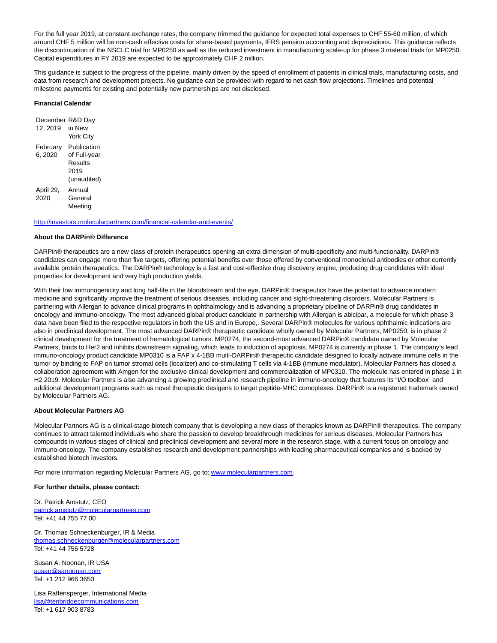For the full year 2019, at constant exchange rates, the company trimmed the guidance for expected total expenses to CHF 55-60 million, of which around CHF 5 million will be non-cash effective costs for share-based payments, IFRS pension accounting and depreciations. This guidance reflects the discontinuation of the NSCLC trial for MP0250 as well as the reduced investment in manufacturing scale-up for phase 3 material trials for MP0250. Capital expenditures in FY 2019 are expected to be approximately CHF 2 million.

This guidance is subject to the progress of the pipeline, mainly driven by the speed of enrollment of patients in clinical trials, manufacturing costs, and data from research and development projects. No guidance can be provided with regard to net cash flow projections. Timelines and potential milestone payments for existing and potentially new partnerships are not disclosed.

## **Financial Calendar**

| December R&D Day |                  |
|------------------|------------------|
| 12, 2019         | in New           |
|                  | <b>York City</b> |
| February         | Publication      |
| 6, 2020          | of Full-year     |
|                  | Results          |
|                  | 2019             |
|                  | (unaudited)      |
| April 29,        | Annual           |
| 2020             | General          |
|                  | Meeting          |

#### <http://investors.molecularpartners.com/financial-calendar-and-events/>

#### **About the DARPin® Difference**

DARPin® therapeutics are a new class of protein therapeutics opening an extra dimension of multi-specificity and multi-functionality. DARPin® candidates can engage more than five targets, offering potential benefits over those offered by conventional monoclonal antibodies or other currently available protein therapeutics. The DARPin® technology is a fast and cost-effective drug discovery engine, producing drug candidates with ideal properties for development and very high production yields.

With their low immunogenicity and long half-life in the bloodstream and the eye, DARPin® therapeutics have the potential to advance modern medicine and significantly improve the treatment of serious diseases, including cancer and sight-threatening disorders. Molecular Partners is partnering with Allergan to advance clinical programs in ophthalmology and is advancing a proprietary pipeline of DARPin® drug candidates in oncology and immuno-oncology. The most advanced global product candidate in partnership with Allergan is abicipar, a molecule for which phase 3 data have been filed to the respective regulators in both the US and in Europe,. Several DARPin® molecules for various ophthalmic indications are also in preclinical development. The most advanced DARPin® therapeutic candidate wholly owned by Molecular Partners, MP0250, is in phase 2 clinical development for the treatment of hematological tumors. MP0274, the second-most advanced DARPin® candidate owned by Molecular Partners, binds to Her2 and inhibits downstream signaling, which leads to induction of apoptosis. MP0274 is currently in phase 1. The company's lead immuno-oncology product candidate MP0310 is a FAP x 4-1BB multi-DARPin® therapeutic candidate designed to locally activate immune cells in the tumor by binding to FAP on tumor stromal cells (localizer) and co-stimulating T cells via 4-1BB (immune modulator). Molecular Partners has closed a collaboration agreement with Amgen for the exclusive clinical development and commercialization of MP0310. The molecule has entered in phase 1 in H2 2019. Molecular Partners is also advancing a growing preclinical and research pipeline in immuno-oncology that features its "I/O toolbox" and additional development programs such as novel therapeutic desigens to target peptide-MHC comoplexes. DARPin® is a registered trademark owned by Molecular Partners AG.

#### **About Molecular Partners AG**

Molecular Partners AG is a clinical-stage biotech company that is developing a new class of therapies known as DARPin® therapeutics. The company continues to attract talented individuals who share the passion to develop breakthrough medicines for serious diseases. Molecular Partners has compounds in various stages of clinical and preclinical development and several more in the research stage, with a current focus on oncology and immuno-oncology. The company establishes research and development partnerships with leading pharmaceutical companies and is backed by established biotech investors.

For more information regarding Molecular Partners AG, go to[: www.molecularpartners.com.](https://www.molecularpartners.com/)

#### **For further details, please contact:**

Dr. Patrick Amstutz, CEO [patrick.amstutz@molecularpartners.com](mailto:patrick.amstutz@molecularpartners.com) Tel: +41 44 755 77 00

Dr. Thomas Schneckenburger, IR & Media [thomas.schneckenburger@molecularpartners.com](mailto:rolf.schlaepfer@konsulenten.ch) Tel: +41 44 755 5728

Susan A. Noonan, IR USA [susan@sanoonan.com](mailto:susan@sanoonan.com) Tel: +1 212 966 3650

Lisa Raffensperger, International Media [lisa@tenbridgecommunications.com](mailto:lisa@tenbridgecommunications.com) Tel: +1 617 903 8783